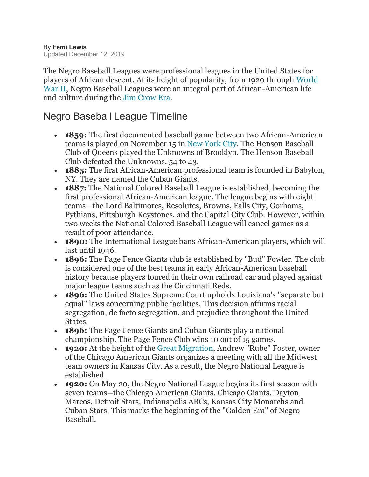The Negro Baseball Leagues were professional leagues in the United States for players of African descent. At its height of popularity, from 1920 through [World](https://www.thoughtco.com/world-war-ii-overview-2361501)  [War II,](https://www.thoughtco.com/world-war-ii-overview-2361501) Negro Baseball Leagues were an integral part of African-American life and culture during the [Jim Crow Era.](https://www.thoughtco.com/what-is-jim-crow-45387)

## Negro Baseball League Timeline

- **1859:** The first documented baseball game between two African-American teams is played on November 15 in [New York City.](https://www.thoughtco.com/five-cities-of-the-abolition-movement-45413) The Henson Baseball Club of Queens played the Unknowns of Brooklyn. The Henson Baseball Club defeated the Unknowns, 54 to 43.
- **1885:** The first African-American professional team is founded in Babylon, NY. They are named the Cuban Giants.
- **1887:** The National Colored Baseball League is established, becoming the first professional African-American league. The league begins with eight teams—the Lord Baltimores, Resolutes, Browns, Falls City, Gorhams, Pythians, Pittsburgh Keystones, and the Capital City Club. However, within two weeks the National Colored Baseball League will cancel games as a result of poor attendance.
- **1890:** The International League bans African-American players, which will last until 1946.
- **1896:** The Page Fence Giants club is established by "Bud" Fowler. The club is considered one of the best teams in early African-American baseball history because players toured in their own railroad car and played against major league teams such as the Cincinnati Reds.
- **1896:** The United States Supreme Court upholds Louisiana's "separate but equal" laws concerning public facilities. This decision affirms racial segregation, de facto segregation, and prejudice throughout the United States.
- **1896:** The Page Fence Giants and Cuban Giants play a national championship. The Page Fence Club wins 10 out of 15 games.
- **1920:** At the height of the [Great Migration,](https://www.thoughtco.com/causes-of-the-great-migration-45391) Andrew "Rube" Foster, owner of the Chicago American Giants organizes a meeting with all the Midwest team owners in Kansas City. As a result, the Negro National League is established.
- **1920:** On May 20, the Negro National League begins its first season with seven teams--the Chicago American Giants, Chicago Giants, Dayton Marcos, Detroit Stars, Indianapolis ABCs, Kansas City Monarchs and Cuban Stars. This marks the beginning of the "Golden Era" of Negro Baseball.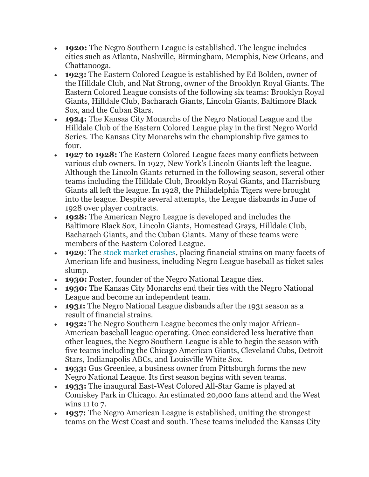- **1920:** The Negro Southern League is established. The league includes cities such as Atlanta, Nashville, Birmingham, Memphis, New Orleans, and Chattanooga.
- **1923:** The Eastern Colored League is established by Ed Bolden, owner of the Hilldale Club, and Nat Strong, owner of the Brooklyn Royal Giants. The Eastern Colored League consists of the following six teams: Brooklyn Royal Giants, Hilldale Club, Bacharach Giants, Lincoln Giants, Baltimore Black Sox, and the Cuban Stars.
- **1924:** The Kansas City Monarchs of the Negro National League and the Hilldale Club of the Eastern Colored League play in the first Negro World Series. The Kansas City Monarchs win the championship five games to four.
- **1927 to 1928:** The Eastern Colored League faces many conflicts between various club owners. In 1927, New York's Lincoln Giants left the league. Although the Lincoln Giants returned in the following season, several other teams including the Hilldale Club, Brooklyn Royal Giants, and Harrisburg Giants all left the league. In 1928, the Philadelphia Tigers were brought into the league. Despite several attempts, the League disbands in June of 1928 over player contracts.
- **1928:** The American Negro League is developed and includes the Baltimore Black Sox, Lincoln Giants, Homestead Grays, Hilldale Club, Bacharach Giants, and the Cuban Giants. Many of these teams were members of the Eastern Colored League.
- **1929**: The [stock market crashes,](https://www.thoughtco.com/the-stock-market-crash-of-1929-1779244) placing financial strains on many facets of American life and business, including Negro League baseball as ticket sales slump.
- **1930:** Foster, founder of the Negro National League dies.
- **1930:** The Kansas City Monarchs end their ties with the Negro National League and become an independent team.
- **1931:** The Negro National League disbands after the 1931 season as a result of financial strains.
- **1932:** The Negro Southern League becomes the only major African-American baseball league operating. Once considered less lucrative than other leagues, the Negro Southern League is able to begin the season with five teams including the Chicago American Giants, Cleveland Cubs, Detroit Stars, Indianapolis ABCs, and Louisville White Sox.
- **1933:** Gus Greenlee, a business owner from Pittsburgh forms the new Negro National League. Its first season begins with seven teams.
- **1933:** The inaugural East-West Colored All-Star Game is played at Comiskey Park in Chicago. An estimated 20,000 fans attend and the West wins 11 to 7.
- **1937:** The Negro American League is established, uniting the strongest teams on the West Coast and south. These teams included the Kansas City